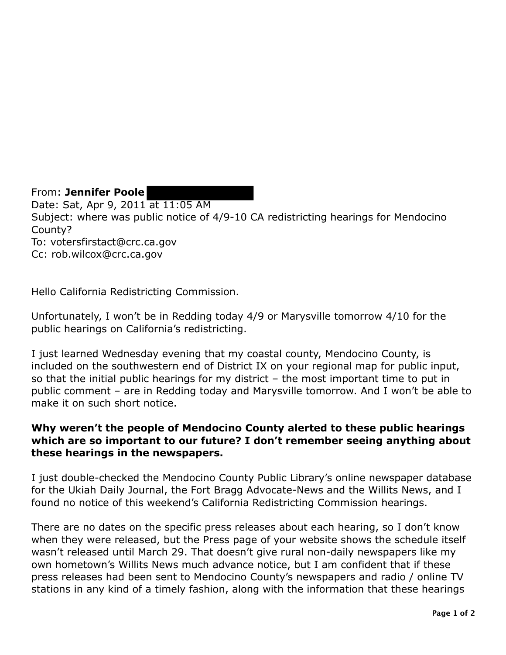From: **Jennifer Poole**  Date: Sat, Apr 9, 2011 at 11:05 AM Subject: where was public notice of 4/9-10 CA redistricting hearings for Mendocino County? To: votersfirstact@crc.ca.gov Cc: rob.wilcox@crc.ca.gov

Hello California Redistricting Commission.

Unfortunately, I won't be in Redding today 4/9 or Marysville tomorrow 4/10 for the public hearings on California's redistricting.

I just learned Wednesday evening that my coastal county, Mendocino County, is included on the southwestern end of District IX on your regional map for public input, so that the initial public hearings for my district – the most important time to put in public comment – are in Redding today and Marysville tomorrow. And I won't be able to make it on such short notice.

## **Why weren't the people of Mendocino County alerted to these public hearings which are so important to our future? I don't remember seeing anything about these hearings in the newspapers.**

I just double-checked the Mendocino County Public Library's online newspaper database for the Ukiah Daily Journal, the Fort Bragg Advocate-News and the Willits News, and I found no notice of this weekend's California Redistricting Commission hearings.

There are no dates on the specific press releases about each hearing, so I don't know when they were released, but the Press page of your website shows the schedule itself wasn't released until March 29. That doesn't give rural non-daily newspapers like my own hometown's Willits News much advance notice, but I am confident that if these press releases had been sent to Mendocino County's newspapers and radio / online TV stations in any kind of a timely fashion, along with the information that these hearings